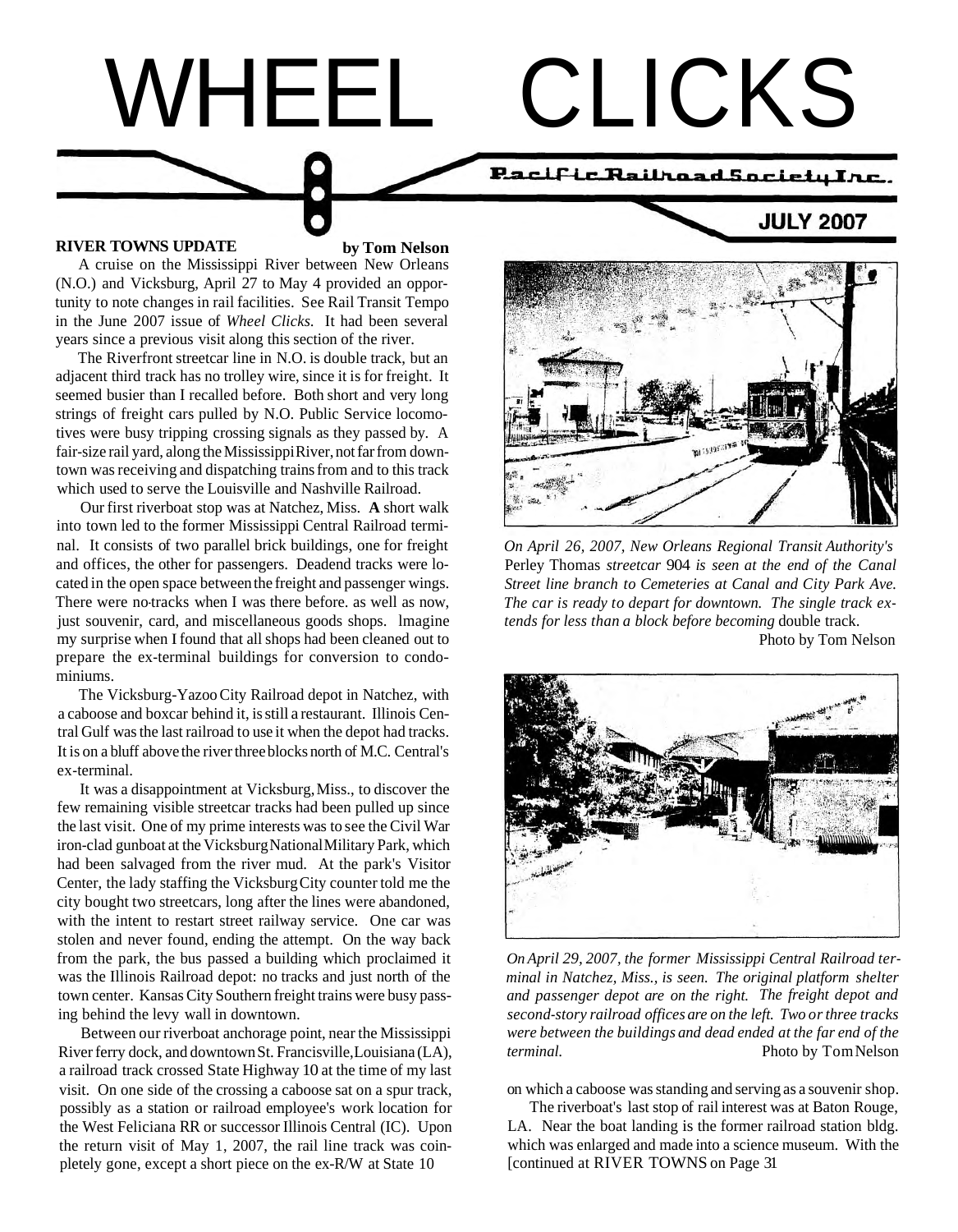

A cruise on the Mississippi River between New Orleans (N.O.) and Vicksburg, April 27 to May 4 provided an opportunity to note changes in rail facilities. See Rail Transit Tempo in the June 2007 issue of *Wheel Clicks.* It had been several years since a previous visit along this section of the river.

The Riverfront streetcar line in N.O. is double track, but an adjacent third track has no trolley wire, since it is for freight. It seemed busier than I recalled before. Both short and very long strings of freight cars pulled by N.O. Public Service locomotives were busy tripping crossing signals as they passed by. A fair-size rail yard, along the Mississippi River, not far from downtown was receiving and dispatching trains from and to this track which used to serve the Louisville and Nashville Railroad.

Our first riverboat stop was at Natchez, Miss. **A** short walk into town led to the former Mississippi Central Railroad terminal. It consists of two parallel brick buildings, one for freight *On April 26, 2007, New Orleans Regional Transit Authority's* and offices, the other for passengers. Deadend tracks were lo- Perley Thomas *streetcar* 904 *is seen at the end of the Canal*  cated in the open space between the freight and passenger wings. *Street line branch to Cemeteries at Canal and City Park Ave.*<br>There were no-tracks when I was there before, as well as now. *The car is ready to depart for* just souvenir, card, and miscellaneous goods shops. lmagine *tends for less than a block before becoming* double track. my surprise when I found that all shops had been cleaned out to Photo by Tom Nelson prepare the ex-terminal buildings for conversion to condominiums.

The Vicksburg-Yazoo City Railroad depot in Natchez, with a caboose and boxcar behind it, is still a restaurant. Illinois Central Gulf was the last railroad to use it when the depot had tracks. It is on a bluff above the river three blocks north of M.C. Central's ex- terminal.

It was a disappointment at Vicksburg, Miss., to discover the few remaining visible streetcar tracks had been pulled up since the last visit. One of my prime interests was to see the Civil War iron-clad gunboat at the Vicksburg National Military Park, which had been salvaged from the river mud. At the park's Visitor Center, the lady staffing the Vicksburg City counter told me the city bought two streetcars, long after the lines were abandoned, with the intent to restart street railway service. One car was stolen and never found, ending the attempt. On the way back from the park, the bus passed a building which proclaimed it was the Illinois Railroad depot: no tracks and just north of the town center. Kansas City Southern freight trains were busy passing behind the levy wall in downtown.

Between our riverboat anchorage point, near the Mississippi River ferry dock, and downtown St. Francisville, Louisiana (LA), a railroad track crossed State Highway 10 at the time of my last visit. On one side of the crossing a caboose sat on a spur track, possibly as a station or railroad employee's work location for the West Feliciana RR or successor Illinois Central (IC). Upon the return visit of May 1, 2007, the rail line track was coinpletely gone, except a short piece on the ex-R/W at State 10



The car is ready to depart for downtown. The single track ex-



*On April 29, 2007, the former Mississippi Central Railroad terminal in Natchez, Miss., is seen. The original platform shelter and passenger depot are on the right. The freight depot and second-story railroad offices are on the left. Two or three tracks were between the buildings and dead ended at the far end of the terminal.* Photo by TomNelson

on which a caboose was standing and serving as a souvenir shop.

The riverboat's last stop of rail interest was at Baton Rouge, LA. Near the boat landing is the former railroad station bldg. which was enlarged and made into a science museum. With the [continued at RIVER TOWNS on Page 31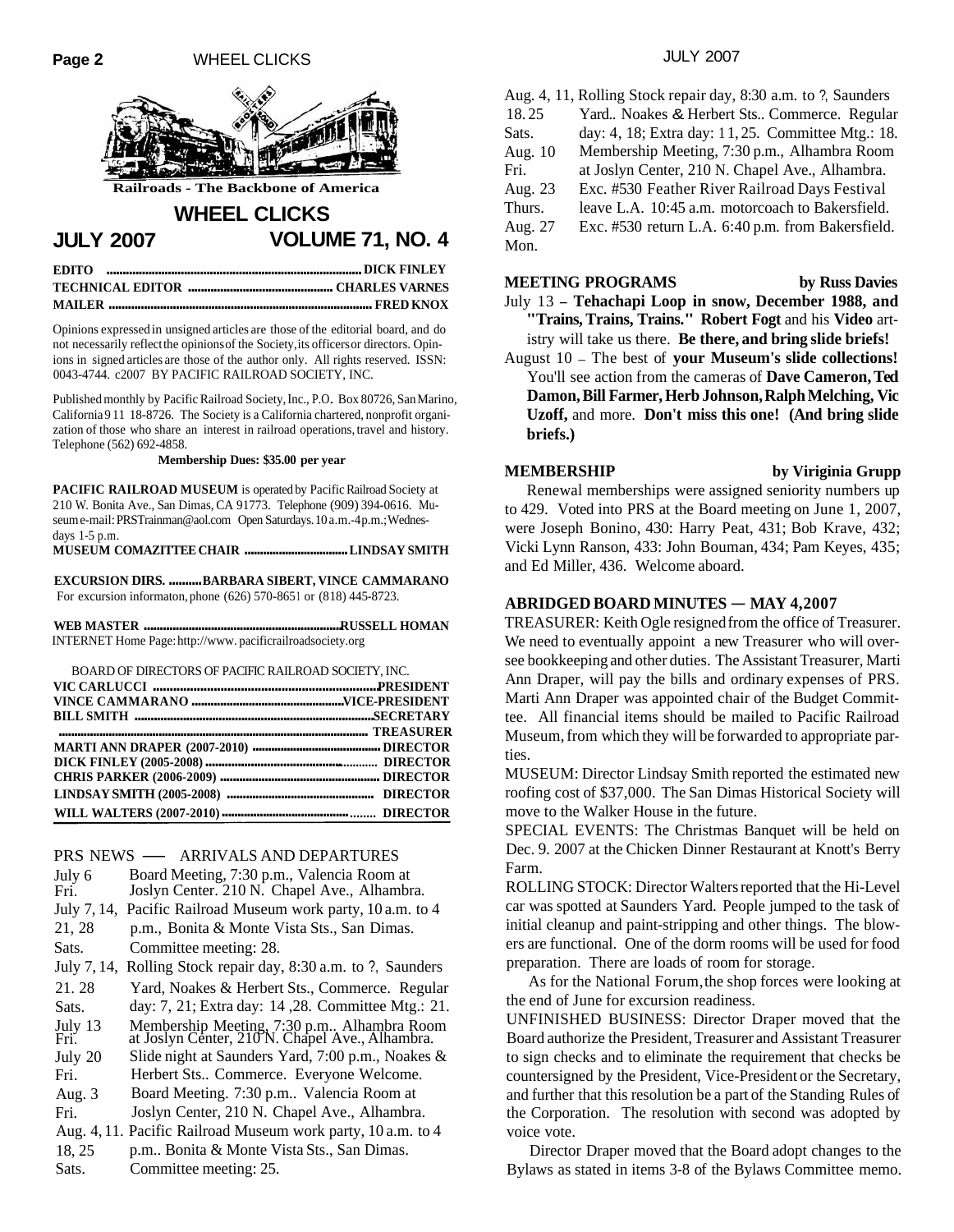

**Railroads - The Backbone of America**

# **WHEEL CLICKS**

**JULY 2007 VOLUME 71, NO. 4** 

| EDITO mummummummummummummummummummum DICK FINLEY |  |
|--------------------------------------------------|--|
|                                                  |  |
|                                                  |  |

Opinions expressed in unsigned articles are those of the editorial board, and do not necessarily reflect the opinions of the Society, its officers or directors. Opinions in signed articles are those of the author only. All rights reserved. ISSN: 0043-4744. c2007 BY PACIFIC RAILROAD SOCIETY, INC.

Published monthly by Pacific Railroad Society, Inc., P.O. Box 80726, San Marino, California 9 11 18-8726. The Society is a California chartered, nonprofit organization of those who share an interest in railroad operations, travel and history. Telephone (562) 692-4858.

**Membership Dues: \$35.00 per year** 

**PACIFIC RAILROAD MUSEUM** is operated by Pacific Railroad Society at 210 W. Bonita Ave., San Dimas, CA 91773. Telephone (909) 394-0616. Museum e-mail: PRSTrainman@aol.com Open Saturdays. 10 a.m.-4 p.m.; Wednesdays 1-5 p.m.

**MUSEUM COMAZITTEE CHAIR** ................................. **LINDSAY SMITH** 

**EXCURSION DIRS.** .......... **BARBARA SIBERT, VINCE CAMMARANO**  For excursion informaton, phone (626) 570-8651 or (818) 445-8723.

**WEB MASTER** .............................................................. **RUSSELL HOMAN**  INTERNET Home Page: http://www. pacificrailroadsociety.org

| BOARD OF DIRECTORS OF PACIFIC RAILROAD SOCIETY. INC.                                   |  |
|----------------------------------------------------------------------------------------|--|
|                                                                                        |  |
|                                                                                        |  |
| BILL SMITH municipal content of the content of the state of the state of the SECRETARY |  |
|                                                                                        |  |
|                                                                                        |  |
|                                                                                        |  |
|                                                                                        |  |
|                                                                                        |  |
|                                                                                        |  |

**PRS NEWS — ARRIVALS AND DEPARTURES**<br>July 6 Board Meeting, 7:30 p.m., Valencia Room Board Meeting, 7:30 p.m., Valencia Room at Fri. Joslyn Center. 210 N. Chapel Ave., Alhambra. July 7, 14, Pacific Railroad Museum work party, 10 a.m. to 4 21, 28 p.m., Bonita & Monte Vista Sts., San Dimas. Sats. Committee meeting: 28. July 7, 14, Rolling Stock repair day, 8:30 a.m. to ?, Saunders 21. 28 Yard, Noakes & Herbert Sts., Commerce. Regular Sats. day: 7, 21; Extra day: 14 ,28. Committee Mtg.: 21. July 13 Membership Meeting, 7:30 p.m.. Alhambra Room Fri . at Joslyn Center, 210 N. Chapel Ave., Alhambra. July 20 Slide night at Saunders Yard, 7:00 p.m., Noakes & Fri. Herbert Sts.. Commerce. Everyone Welcome. Aug. 3 Board Meeting. 7:30 p.m.. Valencia Room at Fri. Joslyn Center, 210 N. Chapel Ave., Alhambra. Aug. 4, 11. Pacific Railroad Museum work party, 10 a.m. to 4 18, 25 p.m.. Bonita & Monte Vista Sts., San Dimas. Sats. Committee meeting: 25.

|           | Aug. 4, 11, Rolling Stock repair day, 8:30 a.m. to ?, Saunders |
|-----------|----------------------------------------------------------------|
| 18.25     | Yard Noakes & Herbert Sts Commerce. Regular                    |
| Sats.     | day: 4, 18; Extra day: 11, 25. Committee Mtg.: 18.             |
| Aug. $10$ | Membership Meeting, 7:30 p.m., Alhambra Room                   |
| Fri.      | at Joslyn Center, 210 N. Chapel Ave., Alhambra.                |
| Aug. 23   | Exc. #530 Feather River Railroad Days Festival                 |
| Thurs.    | leave L.A. 10:45 a.m. motorcoach to Bakersfield.               |
| Aug. 27   | Exc. #530 return L.A. 6:40 p.m. from Bakersfield.              |
| Mon       |                                                                |

**MEETING PROGRAMS** by Russ Davies July 13 - **Tehachapi Loop in snow, December 1988, and "Trains, Trains, Trains." Robert Fogt** and his **Video** artistry will take us there. **Be there, and bring slide briefs!** 

August 10 - The best of **your Museum's slide collections!**  You'll see action from the cameras of **Dave Cameron, Ted Damon, Bill Farmer, Herb Johnson, Ralph Melching, Vic Uzoff,** and more. **Don't miss this one! (And bring slide briefs.)** 

#### **MEMBERSHIP by Viriginia Grupp**

Renewal memberships were assigned seniority numbers up to 429. Voted into PRS at the Board meeting on June 1, 2007, were Joseph Bonino, 430: Harry Peat, 431; Bob Krave, 432; Vicki Lynn Ranson, 433: John Bouman, 434; Pam Keyes, 435; and Ed Miller, 436. Welcome aboard.

### **ABRIDGED BOARD MINUTES - MAY 4.2007**

TREASURER: Keith Ogle resigned from the office of Treasurer. We need to eventually appoint a new Treasurer who will oversee bookkeeping and other duties. The Assistant Treasurer, Marti Ann Draper, will pay the bills and ordinary expenses of PRS. Marti Ann Draper was appointed chair of the Budget Committee. All financial items should be mailed to Pacific Railroad Museum, from which they will be forwarded to appropriate parties.

MUSEUM: Director Lindsay Smith reported the estimated new roofing cost of \$37,000. The San Dimas Historical Society will move to the Walker House in the future.

SPECIAL EVENTS: The Christmas Banquet will be held on Dec. 9. 2007 at the Chicken Dinner Restaurant at Knott's Berry Farm.

ROLLING STOCK: Director Walters reported that the Hi-Level car was spotted at Saunders Yard. People jumped to the task of initial cleanup and paint-stripping and other things. The blowers are functional. One of the dorm rooms will be used for food preparation. There are loads of room for storage.

As for the National Forum,the shop forces were looking at the end of June for excursion readiness.

UNFINISHED BUSINESS: Director Draper moved that the Board authorize the President, Treasurer and Assistant Treasurer to sign checks and to eliminate the requirement that checks be countersigned by the President, Vice-President or the Secretary, and further that this resolution be a part of the Standing Rules of the Corporation. The resolution with second was adopted by voice vote.

Director Draper moved that the Board adopt changes to the Bylaws as stated in items 3-8 of the Bylaws Committee memo.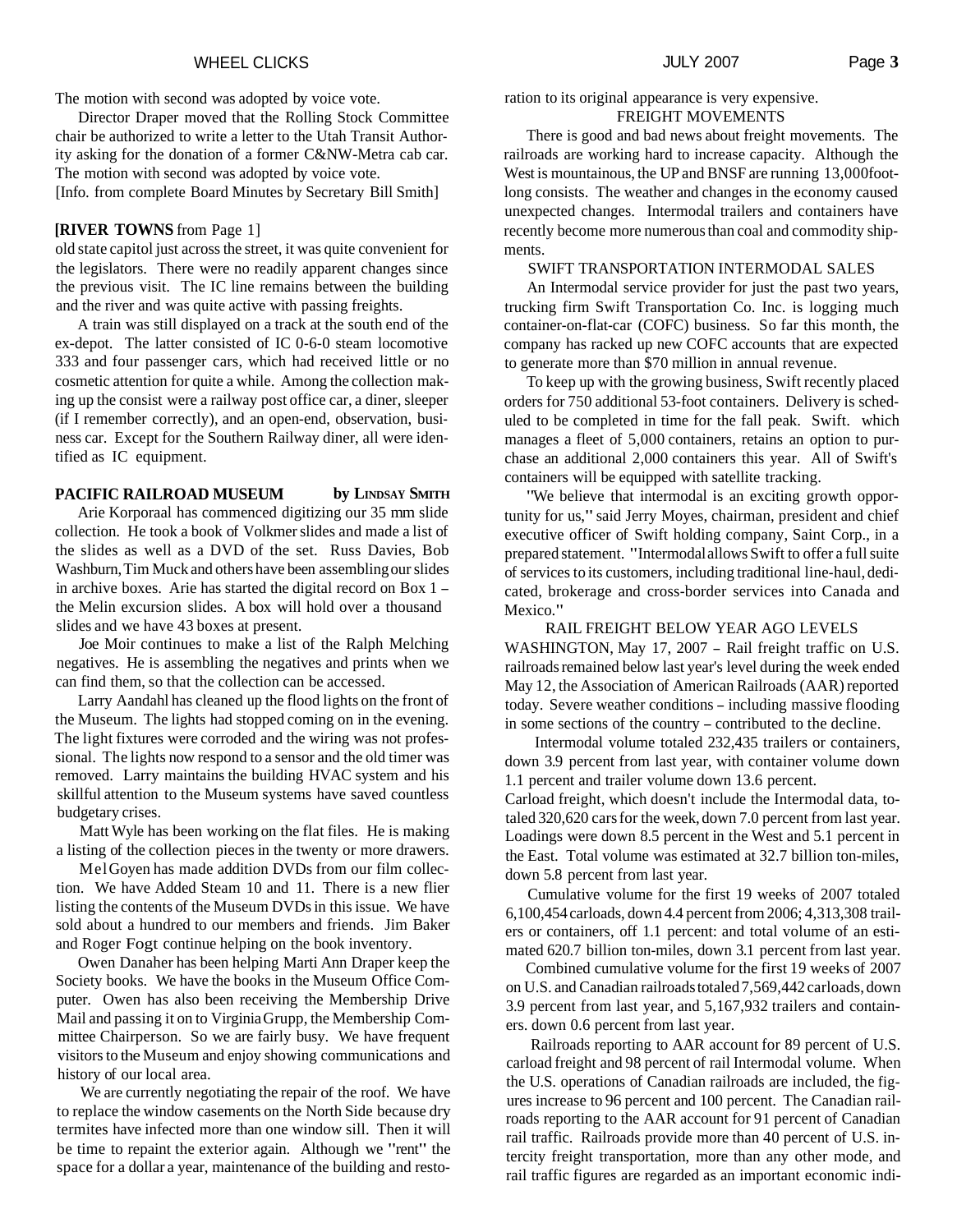The motion with second was adopted by voice vote.

Director Draper moved that the Rolling Stock Committee chair be authorized to write a letter to the Utah Transit Authority asking for the donation of a former C&NW-Metra cab car. The motion with second was adopted by voice vote. [Info. from complete Board Minutes by Secretary Bill Smith]

## **[RIVER TOWNS** from Page 1]

old state capitol just across the street, it was quite convenient for the legislators. There were no readily apparent changes since the previous visit. The IC line remains between the building and the river and was quite active with passing freights.

A train was still displayed on a track at the south end of the ex-depot. The latter consisted of IC 0-6-0 steam locomotive 333 and four passenger cars, which had received little or no cosmetic attention for quite a while. Among the collection making up the consist were a railway post office car, a diner, sleeper (if I remember correctly), and an open-end, observation, business car. Except for the Southern Railway diner, all were identified as IC equipment.

## PACIFIC RAILROAD MUSEUM by LINDSAY SMITH

Arie Korporaal has commenced digitizing our 35 mm slide collection. He took a book of Volkmer slides and made a list of the slides as well as a DVD of the set. Russ Davies, Bob Washburn, Tim Muck and others have been assembling our slides in archive boxes. Arie has started the digital record on Box 1 the Melin excursion slides. A box will hold over a thousand slides and we have 43 boxes at present.

Joe Moir continues to make a list of the Ralph Melching negatives. He is assembling the negatives and prints when we can find them, so that the collection can be accessed.

Larry Aandahl has cleaned up the flood lights on the front of the Museum. The lights had stopped coming on in the evening. The light fixtures were corroded and the wiring was not professional. The lights now respond to a sensor and the old timer was removed. Larry maintains the building HVAC system and his skillful attention to the Museum systems have saved countless budgetary crises.

Matt Wyle has been working on the flat files. He is making a listing of the collection pieces in the twenty or more drawers.

MelGoyen has made addition DVDs from our film collection. We have Added Steam 10 and 11. There is a new flier listing the contents of the Museum DVDs in this issue. We have sold about a hundred to our members and friends. Jim Baker and Roger Fogt continue helping on the book inventory.

Owen Danaher has been helping Marti Ann Draper keep the Society books. We have the books in the Museum Office Computer. Owen has also been receiving the Membership Drive Mail and passing it on to Virginia Grupp, the Membership Committee Chairperson. So we are fairly busy. We have frequent visitors to the Museum and enjoy showing communications and history of our local area.

We are currently negotiating the repair of the roof. We have to replace the window casements on the North Side because dry termites have infected more than one window sill. Then it will be time to repaint the exterior again. Although we "rent" the space for a dollar a year, maintenance of the building and resto-

#### ration to its original appearance is very expensive. FREIGHT MOVEMENTS

There is good and bad news about freight movements. The railroads are working hard to increase capacity. Although the West is mountainous, the UP and BNSF are running 13,000 footlong consists. The weather and changes in the economy caused unexpected changes. Intermodal trailers and containers have recently become more numerous than coal and commodity shipments.

## SWIFT TRANSPORTATION INTERMODAL SALES

An Intermodal service provider for just the past two years, trucking firm Swift Transportation Co. Inc. is logging much container-on-flat-car (COFC) business. So far this month, the company has racked up new COFC accounts that are expected to generate more than \$70 million in annual revenue.

To keep up with the growing business, Swift recently placed orders for 750 additional 53-foot containers. Delivery is scheduled to be completed in time for the fall peak. Swift. which manages a fleet of 5,000 containers, retains an option to purchase an additional 2,000 containers this year. All of Swift's containers will be equipped with satellite tracking.

"We believe that intermodal is an exciting growth opportunity for us," said Jerry Moyes, chairman, president and chief executive officer of Swift holding company, Saint Corp., in a prepared statement. "Intermodal allows Swift to offer a full suite of services to its customers, including traditional line-haul, dedicated, brokerage and cross-border services into Canada and Mexico."

RAIL FREIGHT BELOW YEAR AGO LEVELS WASHINGTON, May 17, 2007 - Rail freight traffic on U.S. railroads remained below last year's level during the week ended May 12, the Association of American Railroads (AAR) reported today. Severe weather conditions - including massive flooding in some sections of the country - contributed to the decline.

Intermodal volume totaled 232,435 trailers or containers, down 3.9 percent from last year, with container volume down 1.1 percent and trailer volume down 13.6 percent.

Carload freight, which doesn't include the Intermodal data, totaled 320,620 cars for the week, down 7.0 percent from last year. Loadings were down 8.5 percent in the West and 5.1 percent in the East. Total volume was estimated at 32.7 billion ton-miles, down 5.8 percent from last year.

Cumulative volume for the first 19 weeks of 2007 totaled 6,100,454 carloads, down 4.4 percent from 2006; 4,3 13,308 trailers or containers, off 1.1 percent: and total volume of an estimated 620.7 billion ton-miles, down 3.1 percent from last year.

Combined cumulative volume for the first 19 weeks of 2007 on U.S. and Canadian railroads totaled 7,569,442 carloads, down 3.9 percent from last year, and 5,167,932 trailers and containers. down 0.6 percent from last year.

Railroads reporting to AAR account for 89 percent of U.S. carload freight and 98 percent of rail Intermodal volume. When the U.S. operations of Canadian railroads are included, the figures increase to 96 percent and 100 percent. The Canadian railroads reporting to the AAR account for 91 percent of Canadian rail traffic. Railroads provide more than 40 percent of U.S. intercity freight transportation, more than any other mode, and rail traffic figures are regarded as an important economic indi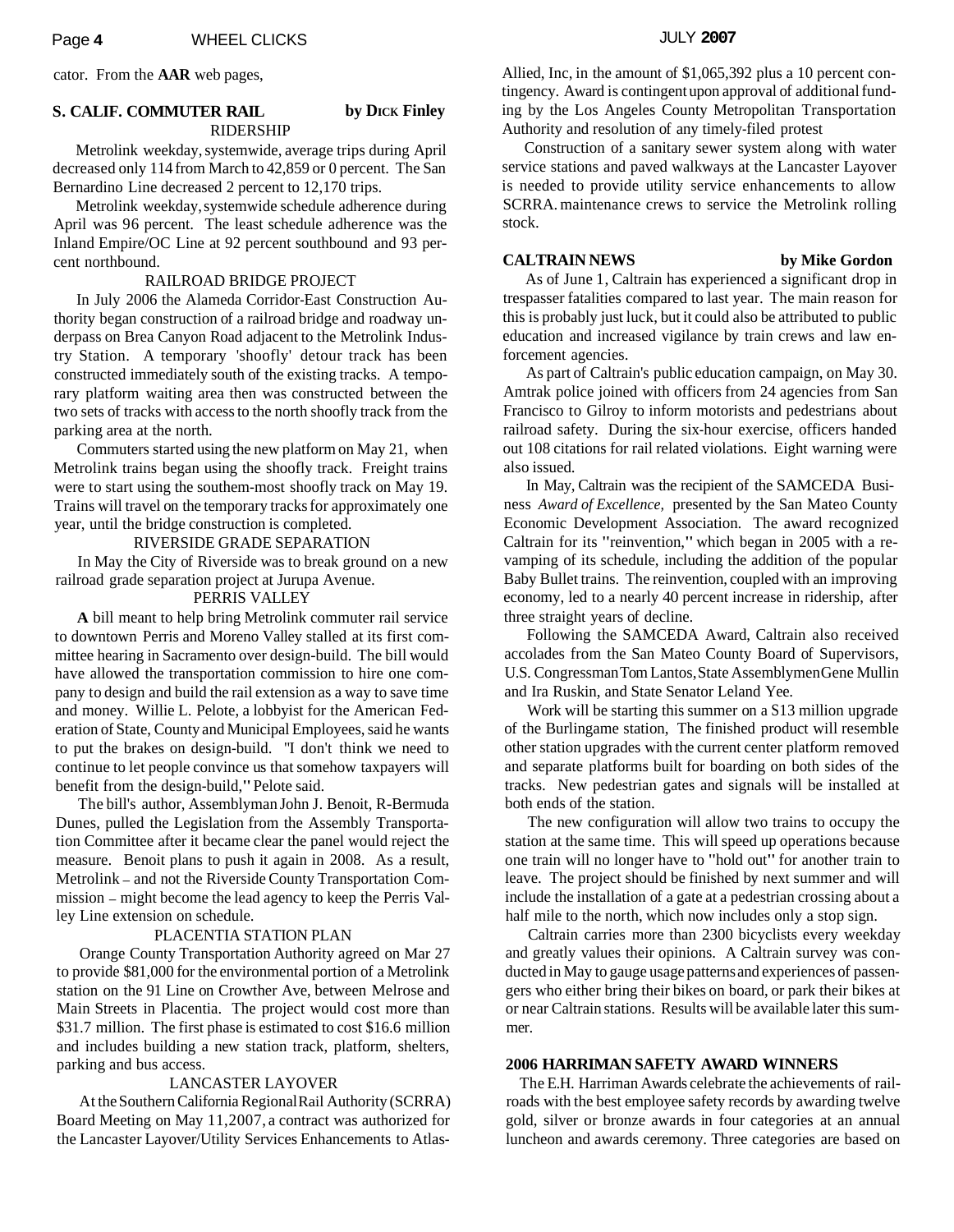cator. From the **AAR** web pages,

### **S. CALIF. COMMUTER RAIL by DICK Finley** RIDERSHIP

Metrolink weekday, systemwide, average trips during April decreased only 114 from March to 42,859 or 0 percent. The San Bernardino Line decreased 2 percent to 12,170 trips.

Metrolink weekday, systemwide schedule adherence during April was 96 percent. The least schedule adherence was the Inland Empire/OC Line at 92 percent southbound and 93 percent northbound.

#### RAILROAD BRIDGE PROJECT

In July 2006 the Alameda Corridor-East Construction Authority began construction of a railroad bridge and roadway underpass on Brea Canyon Road adjacent to the Metrolink Industry Station. A temporary 'shoofly' detour track has been constructed immediately south of the existing tracks. A temporary platform waiting area then was constructed between the two sets of tracks with access to the north shoofly track from the parking area at the north.

Commuters started using the new platform on May 21, when Metrolink trains began using the shoofly track. Freight trains were to start using the southem-most shoofly track on May 19. Trains will travel on the temporary tracks for approximately one year, until the bridge construction is completed.

#### RIVERSIDE GRADE SEPARATION

In May the City of Riverside was to break ground on a new railroad grade separation project at Jurupa Avenue.

## PERRIS VALLEY

**A** bill meant to help bring Metrolink commuter rail service to downtown Perris and Moreno Valley stalled at its first committee hearing in Sacramento over design-build. The bill would have allowed the transportation commission to hire one company to design and build the rail extension as a way to save time and money. Willie L. Pelote, a lobbyist for the American Federation of State, County and Municipal Employees, said he wants to put the brakes on design-build. "I don't think we need to continue to let people convince us that somehow taxpayers will benefit from the design-build," Pelote said.

The bill's author, Assemblyman John J. Benoit, R-Bermuda Dunes, pulled the Legislation from the Assembly Transportation Committee after it became clear the panel would reject the measure. Benoit plans to push it again in 2008. As a result, Metrolink - and not the Riverside County Transportation Commission - might become the lead agency to keep the Perris Valley Line extension on schedule.

#### PLACENTIA STATION PLAN

Orange County Transportation Authority agreed on Mar 27 to provide \$8 1,000 for the environmental portion of a Metrolink station on the 91 Line on Crowther Ave, between Melrose and Main Streets in Placentia. The project would cost more than \$31.7 million. The first phase is estimated to cost \$16.6 million and includes building a new station track, platform, shelters, parking and bus access.

#### LANCASTER LAYOVER

At the Southern California Regional Rail Authority (SCRRA) Board Meeting on May 11,2007, a contract was authorized for the Lancaster Layover/Utility Services Enhancements to AtlasAllied, Inc, in the amount of \$1,065,392 plus a 10 percent contingency. Award is contingent upon approval of additional funding by the Los Angeles County Metropolitan Transportation Authority and resolution of any timely-filed protest

Construction of a sanitary sewer system along with water service stations and paved walkways at the Lancaster Layover is needed to provide utility service enhancements to allow SCRRA. maintenance crews to service the Metrolink rolling stock.

#### **CALTRAIN NEWS by Mike Gordon**

As of June 1, Caltrain has experienced a significant drop in trespasser fatalities compared to last year. The main reason for this is probably just luck, but it could also be attributed to public education and increased vigilance by train crews and law enforcement agencies.

As part of Caltrain's public education campaign, on May 30. Amtrak police joined with officers from 24 agencies from San Francisco to Gilroy to inform motorists and pedestrians about railroad safety. During the six-hour exercise, officers handed out 108 citations for rail related violations. Eight warning were also issued.

In May, Caltrain was the recipient of the SAMCEDA Business *Award of Excellence,* presented by the San Mateo County Economic Development Association. The award recognized Caltrain for its "reinvention," which began in 2005 with a revamping of its schedule, including the addition of the popular Baby Bullet trains. The reinvention, coupled with an improving economy, led to a nearly 40 percent increase in ridership, after three straight years of decline.

Following the SAMCEDA Award, Caltrain also received accolades from the San Mateo County Board of Supervisors, U.S. Congressman Tom Lantos, State Assemblymen Gene Mullin and Ira Ruskin, and State Senator Leland Yee.

Work will be starting this summer on a S13 million upgrade of the Burlingame station, The finished product will resemble other station upgrades with the current center platform removed and separate platforms built for boarding on both sides of the tracks. New pedestrian gates and signals will be installed at both ends of the station.

The new configuration will allow two trains to occupy the station at the same time. This will speed up operations because one train will no longer have to "hold out" for another train to leave. The project should be finished by next summer and will include the installation of a gate at a pedestrian crossing about a half mile to the north, which now includes only a stop sign.

Caltrain carries more than 2300 bicyclists every weekday and greatly values their opinions. A Caltrain survey was conducted in May to gauge usage patterns and experiences of passengers who either bring their bikes on board, or park their bikes at or near Caltrain stations. Results will be available later this summer.

### **2006 HARRIMAN SAFETY AWARD WINNERS**

The E.H. Harriman Awards celebrate the achievements of railroads with the best employee safety records by awarding twelve gold, silver or bronze awards in four categories at an annual luncheon and awards ceremony. Three categories are based on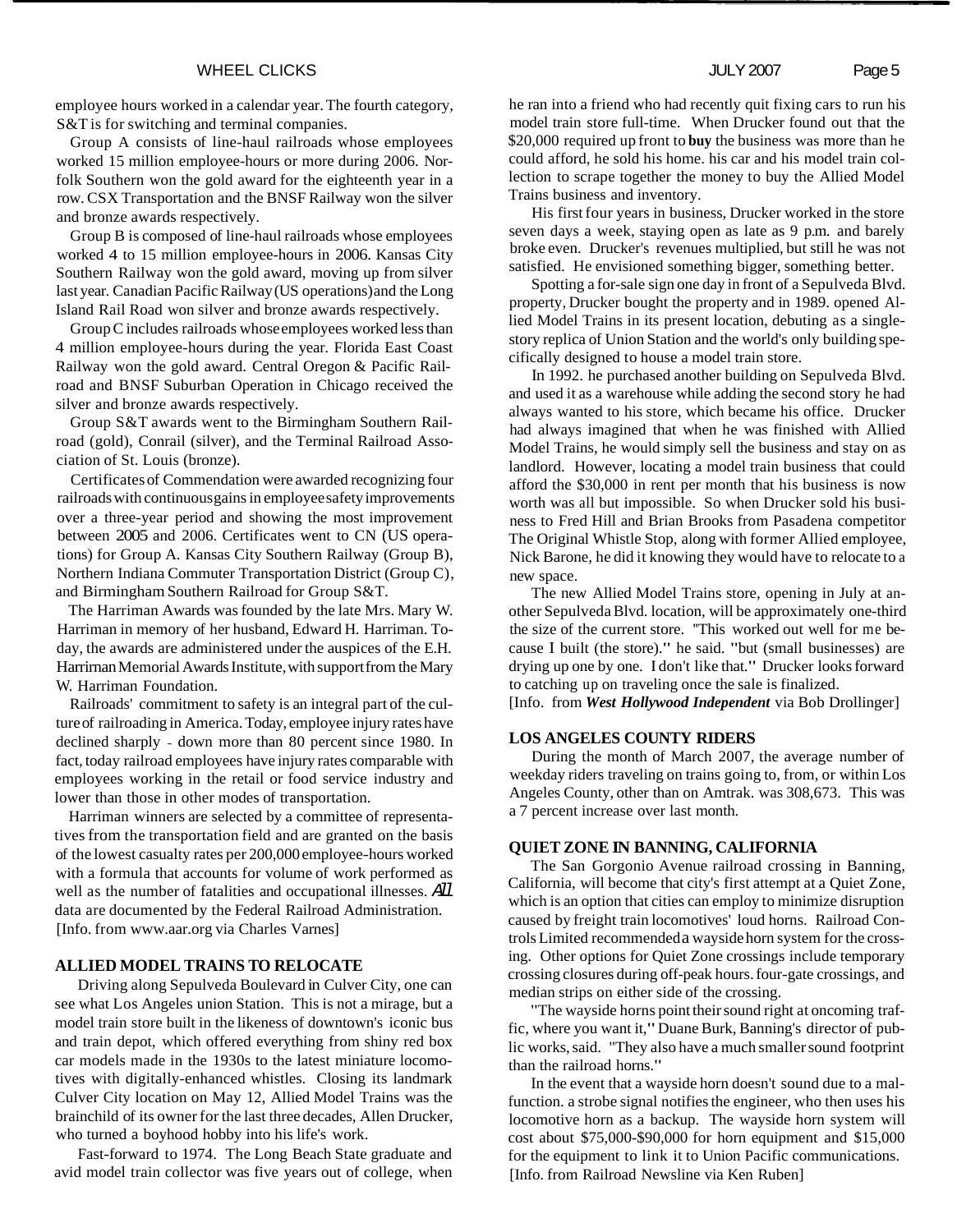employee hours worked in a calendar year. The fourth category, S&T is for switching and terminal companies.

Group A consists of line-haul railroads whose employees worked 15 million employee-hours or more during 2006. Norfolk Southern won the gold award for the eighteenth year in a row. CSX Transportation and the BNSF Railway won the silver and bronze awards respectively.

Group B is composed of line-haul railroads whose employees worked 4 to 15 million employee-hours in 2006. Kansas City Southern Railway won the gold award, moving up from silver last year. Canadian Pacific Railway (US operations) and the Long Island Rail Road won silver and bronze awards respectively.

Group C includes railroads whose employees worked less than 4 million employee-hours during the year. Florida East Coast Railway won the gold award. Central Oregon & Pacific Railroad and BNSF Suburban Operation in Chicago received the silver and bronze awards respectively.

Group S&T awards went to the Birmingham Southern Railroad (gold), Conrail (silver), and the Terminal Railroad Association of St. Louis (bronze).

Certificates of Commendation were awarded recognizing four railroads with continuous gains in employee safety improvements over a three-year period and showing the most improvement between 2005 and 2006. Certificates went to CN (US operations) for Group A. Kansas City Southern Railway (Group B), Northern Indiana Commuter Transportation District (Group C), and Birmingham Southern Railroad for Group S&T.

The Harriman Awards was founded by the late Mrs. Mary W. Harriman in memory of her husband, Edward H. Harriman. Today, the awards are administered under the auspices of the E.H. Harrirnan Memorial Awards Institute, with support from the Mary W. Harriman Foundation.

Railroads' commitment to safety is an integral part of the culture of railroading in America. Today, employee injury rates have declined sharply - down more than 80 percent since 1980. In fact, today railroad employees have injury rates comparable with employees working in the retail or food service industry and lower than those in other modes of transportation.

Harriman winners are selected by a committee of representatives from the transportation field and are granted on the basis of the lowest casualty rates per 200,000 employee-hours worked with a formula that accounts for volume of work performed as well as the number of fatalities and occupational illnesses. All data are documented by the Federal Railroad Administration. [Info. from www.aar.org via Charles Varnes]

#### **ALLIED MODEL TRAINS TO RELOCATE**

Driving along Sepulveda Boulevard in Culver City, one can see what Los Angeles union Station. This is not a mirage, but a model train store built in the likeness of downtown's iconic bus and train depot, which offered everything from shiny red box car models made in the 1930s to the latest miniature locomotives with digitally-enhanced whistles. Closing its landmark Culver City location on May 12, Allied Model Trains was the brainchild of its owner for the last three decades, Allen Drucker, who turned a boyhood hobby into his life's work.

Fast-forward to 1974. The Long Beach State graduate and avid model train collector was five years out of college, when

he ran into a friend who had recently quit fixing cars to run his model train store full-time. When Drucker found out that the \$20,000 required up front to **buy** the business was more than he could afford, he sold his home. his car and his model train collection to scrape together the money to buy the Allied Model Trains business and inventory.

His first four years in business, Drucker worked in the store seven days a week, staying open as late as 9 p.m. and barely broke even. Drucker's revenues multiplied, but still he was not satisfied. He envisioned something bigger, something better.

Spotting a for-sale sign one day in front of a Sepulveda Blvd. property, Drucker bought the property and in 1989. opened Allied Model Trains in its present location, debuting as a singlestory replica of Union Station and the world's only building specifically designed to house a model train store.

In 1992. he purchased another building on Sepulveda Blvd. and used it as a warehouse while adding the second story he had always wanted to his store, which became his office. Drucker had always imagined that when he was finished with Allied Model Trains, he would simply sell the business and stay on as landlord. However, locating a model train business that could afford the \$30,000 in rent per month that his business is now worth was all but impossible. So when Drucker sold his business to Fred Hill and Brian Brooks from Pasadena competitor The Original Whistle Stop, along with former Allied employee, Nick Barone, he did it knowing they would have to relocate to a new space.

The new Allied Model Trains store, opening in July at another Sepulveda Blvd. location, will be approximately one-third the size of the current store. ''This worked out well for me because I built (the store)." he said. "but (small businesses) are drying up one by one. **I** don't like that." Drucker looks forward to catching up on traveling once the sale is finalized.

[Info. from *West Hollywood Independent* via Bob Drollinger]

#### **LOS ANGELES COUNTY RIDERS**

During the month of March 2007, the average number of weekday riders traveling on trains going to, from, or within Los Angeles County, other than on Amtrak. was 308,673. This was a 7 percent increase over last month.

#### **QUIET ZONE IN BANNING, CALIFORNIA**

The San Gorgonio Avenue railroad crossing in Banning, California, will become that city's first attempt at a Quiet Zone, which is an option that cities can employ to minimize disruption caused by freight train locomotives' loud horns. Railroad Controls Limited recommended a wayside horn system for the crossing. Other options for Quiet Zone crossings include temporary crossing closures during off-peak hours. four-gate crossings, and median strips on either side of the crossing.

"The wayside horns point their sound right at oncoming traffic, where you want it," Duane Burk, Banning's director of public works, said. "They also have a much smaller sound footprint than the railroad horns."

In the event that a wayside horn doesn't sound due to a malfunction. a strobe signal notifies the engineer, who then uses his locomotive horn as a backup. The wayside horn system will cost about \$75,000-\$90,000 for horn equipment and \$15,000 for the equipment to link it to Union Pacific communications. [Info. from Railroad Newsline via Ken Ruben]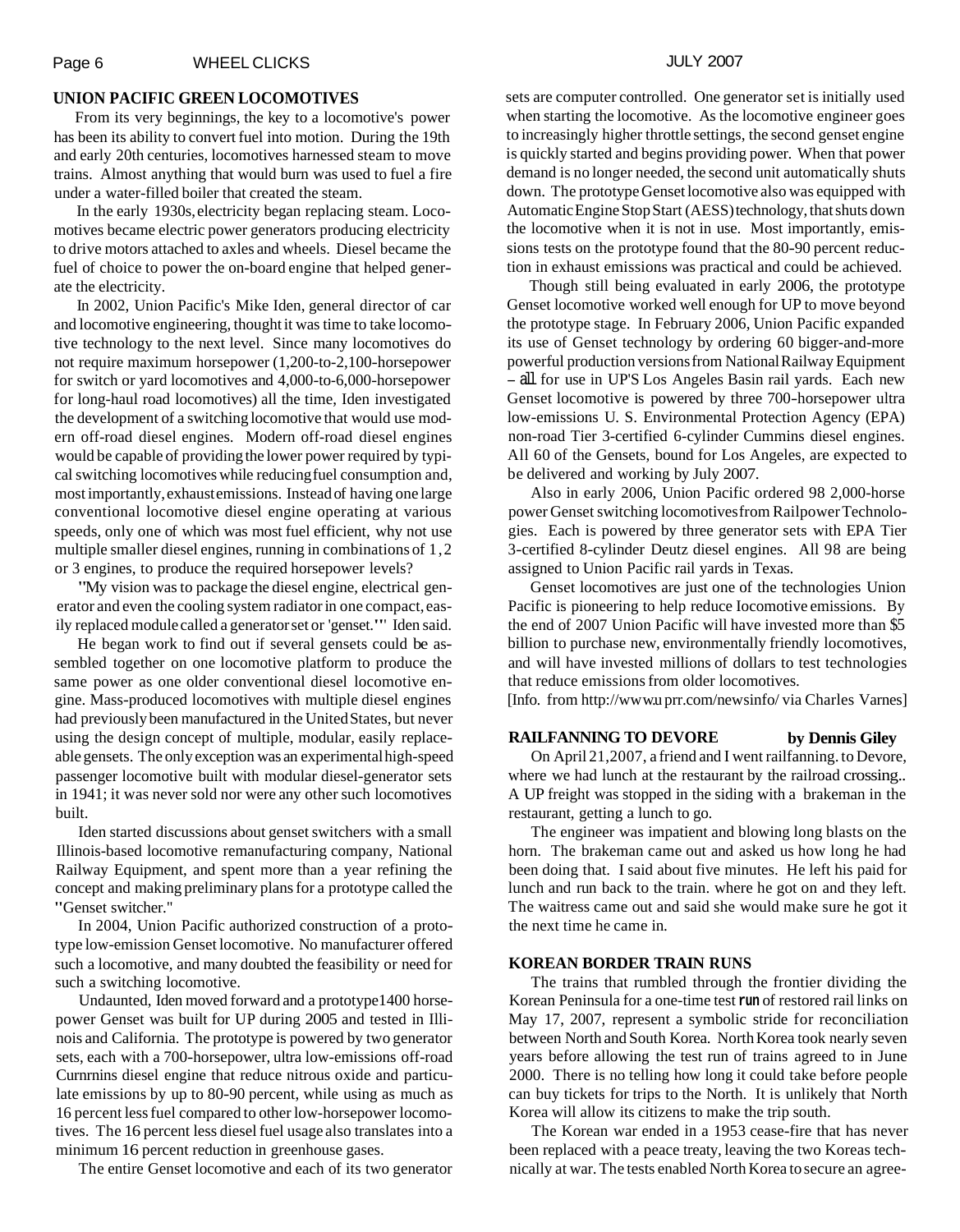#### **UNION PACIFIC GREEN LOCOMOTIVES**

From its very beginnings, the key to a locomotive's power has been its ability to convert fuel into motion. During the 19th and early 20th centuries, locomotives harnessed steam to move trains. Almost anything that would burn was used to fuel a fire under a water-filled boiler that created the steam.

In the early 1930s, electricity began replacing steam. Locomotives became electric power generators producing electricity to drive motors attached to axles and wheels. Diesel became the fuel of choice to power the on-board engine that helped generate the electricity.

In 2002, Union Pacific's Mike Iden, general director of car and locomotive engineering, thought it was time to take locomotive technology to the next level. Since many locomotives do not require maximum horsepower (1,200-to-2,100-horsepower for switch or yard locomotives and 4,000-to-6,000-horsepower for long-haul road locomotives) all the time, Iden investigated the development of a switching locomotive that would use modern off-road diesel engines. Modern off-road diesel engines would be capable of providing the lower power required by typical switching locomotives while reducing fuel consumption and, most importantly, exhaust emissions. Instead of having one large conventional locomotive diesel engine operating at various speeds, only one of which was most fuel efficient, why not use multiple smaller diesel engines, running in combinations of 1,2 or 3 engines, to produce the required horsepower levels?

"My vision was to package the diesel engine, electrical generator and even the cooling system radiator in one compact, easily replaced module called a generator set or 'genset."' Iden said.

He began work to find out if several gensets could be assembled together on one locomotive platform to produce the same power as one older conventional diesel locomotive engine. Mass-produced locomotives with multiple diesel engines had previously been manufactured in the United States, but never using the design concept of multiple, modular, easily replaceable gensets. The only exception was an experimental high-speed passenger locomotive built with modular diesel-generator sets in 1941; it was never sold nor were any other such locomotives built.

Iden started discussions about genset switchers with a small Illinois-based locomotive remanufacturing company, National Railway Equipment, and spent more than a year refining the concept and making preliminary plans for a prototype called the "Genset switcher."

In 2004, Union Pacific authorized construction of a prototype low-emission Genset locomotive. No manufacturer offered such a locomotive, and many doubted the feasibility or need for such a switching locomotive.

Undaunted, Iden moved forward and a prototype1400 horsepower Genset was built for UP during 2005 and tested in Illinois and California. The prototype is powered by two generator sets, each with a 700-horsepower, ultra low-emissions off-road Curnrnins diesel engine that reduce nitrous oxide and particulate emissions by up to 80-90 percent, while using as much as 1 6 percent less fuel compared to other low-horsepower locomotives. The 16 percent less diesel fuel usage also translates into a minimum 16 percent reduction in greenhouse gases.

The entire Genset locomotive and each of its two generator

sets are computer controlled. One generator set is initially used when starting the locomotive. As the locomotive engineer goes to increasingly higher throttle settings, the second genset engine is quickly started and begins providing power. When that power demand is no longer needed, the second unit automatically shuts down. The prototype Genset locomotive also was equipped with Automatic Engine Stop Start (AESS)technology, that shuts down the locomotive when it is not in use. Most importantly, emissions tests on the prototype found that the 80-90 percent reduction in exhaust emissions was practical and could be achieved.

Though still being evaluated in early 2006, the prototype Genset locomotive worked well enough for UP to move beyond the prototype stage. In February 2006, Union Pacific expanded its use of Genset technology by ordering 60 bigger-and-more powerful production versions from National Railway Equipment - all for use in UP'S Los Angeles Basin rail yards. Each new Genset locomotive is powered by three 700-horsepower ultra low-emissions U. S. Environmental Protection Agency (EPA) non-road Tier 3-certified 6-cylinder Cummins diesel engines. All 60 of the Gensets, bound for Los Angeles, are expected to be delivered and working by July 2007.

Also in early 2006, Union Pacific ordered 98 2,000-horse power Genset switching locomotives from Railpower Technologies. Each is powered by three generator sets with EPA Tier 3-certified 8-cylinder Deutz diesel engines. All 98 are being assigned to Union Pacific rail yards in Texas.

Genset locomotives are just one of the technologies Union Pacific is pioneering to help reduce Iocomotive emissions. By the end of 2007 Union Pacific will have invested more than \$5 billion to purchase new, environmentally friendly locomotives, and will have invested millions of dollars to test technologies that reduce emissions from older locomotives.

[Info. from http://ww w.u prr.com/new sinfo/ via Charles Varnes]

## **RAILFANNING TO DEVORE by Dennis Giley**

On April 21,2007, a friend and I went railfanning. to Devore, where we had lunch at the restaurant by the railroad crossing... A UP freight was stopped in the siding with a brakeman in the restaurant, getting a lunch to go.

The engineer was impatient and blowing long blasts on the horn. The brakeman came out and asked us how long he had been doing that. I said about five minutes. He left his paid for lunch and run back to the train. where he got on and they left. The waitress came out and said she would make sure he got it the next time he came in.

#### **KOREAN BORDER TRAIN RUNS**

The trains that rumbled through the frontier dividing the Korean Peninsula for a one-time test **run** of restored rail links on May 17, 2007, represent a symbolic stride for reconciliation between North and South Korea. North Korea took nearly seven years before allowing the test run of trains agreed to in June 2000. There is no telling how long it could take before people can buy tickets for trips to the North. It is unlikely that North Korea will allow its citizens to make the trip south.

The Korean war ended in a 1953 cease-fire that has never been replaced with a peace treaty, leaving the two Koreas technically at war. The tests enabled North Korea to secure an agree-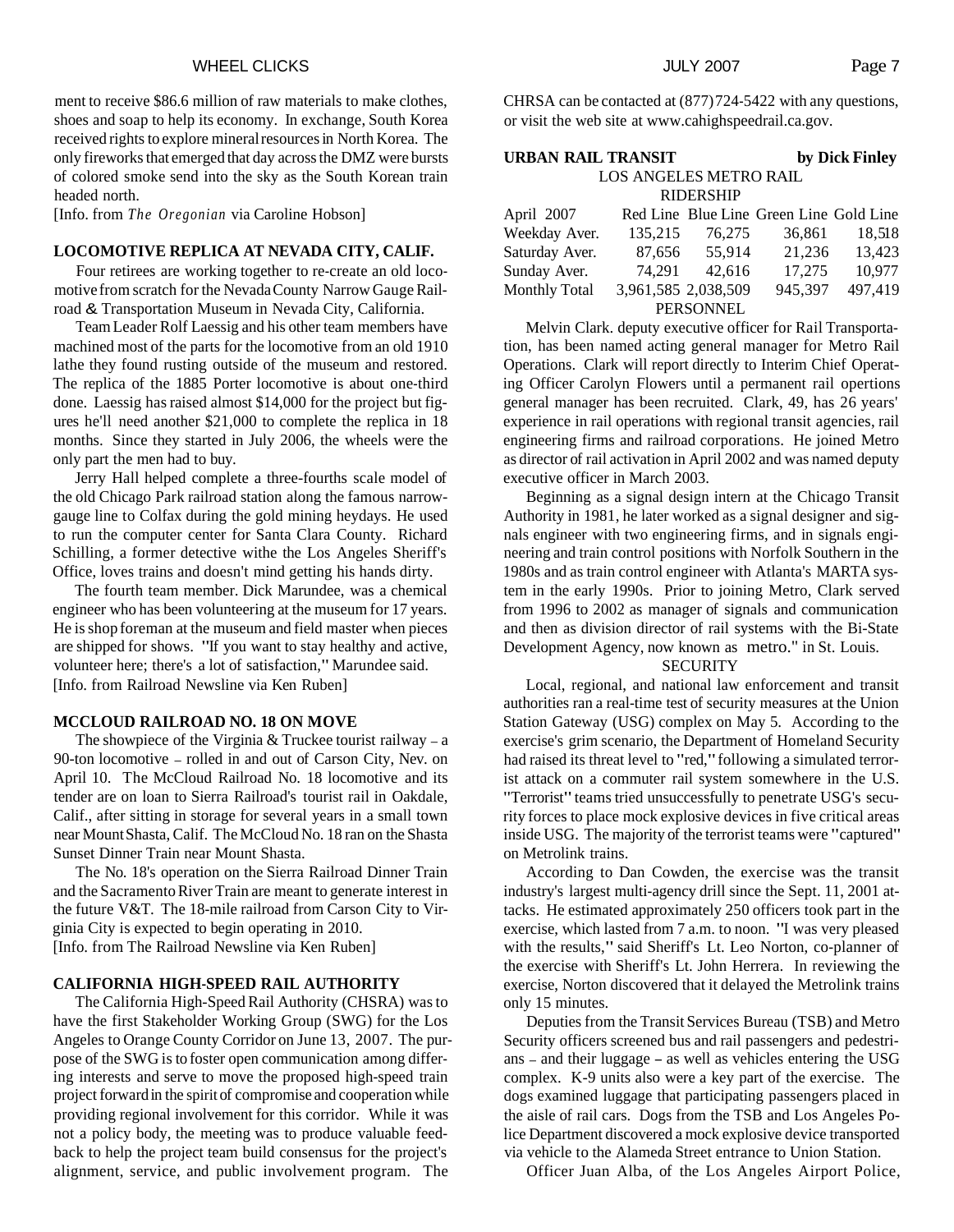#### WHEEL CLICKS **Page 7** and the ULICH 2007 **Page 7**

ment to receive \$86.6 million of raw materials to make clothes, shoes and soap to help its economy. In exchange, South Korea received rights to explore mineral resources in North Korea. The only fireworks that emerged that day across the DMZ were bursts of colored smoke send into the sky as the South Korean train headed north.

[Info. from *The Oregonian* via Caroline Hobson]

# **LOCOMOTIVE REPLICA AT NEVADA CITY, CALIF.**

Four retirees are working together to re-create an old locomotive from scratch for the Nevada County Narrow Gauge Railroad & Transportation Museum in Nevada City, California.

Team Leader Rolf Laessig and his other team members have machined most of the parts for the locomotive from an old 1910 lathe they found rusting outside of the museum and restored. The replica of the 1885 Porter locomotive is about one-third done. Laessig has raised almost \$14,000 for the project but figures he'll need another \$21,000 to complete the replica in 18 months. Since they started in July 2006, the wheels were the only part the men had to buy.

Jerry Hall helped complete a three-fourths scale model of the old Chicago Park railroad station along the famous narrowgauge line to Colfax during the gold mining heydays. He used to run the computer center for Santa Clara County. Richard Schilling, a former detective withe the Los Angeles Sheriff's Office, loves trains and doesn't mind getting his hands dirty.

The fourth team member. Dick Marundee, was a chemical engineer who has been volunteering at the museum for 17 years. He is shop foreman at the museum and field master when pieces are shipped for shows. "If you want to stay healthy and active, volunteer here; there's a lot of satisfaction," Marundee said. [Info. from Railroad Newsline via Ken Ruben]

# **MCCLOUD RAILROAD NO. 18 ON MOVE**

The showpiece of the Virginia  $&$  Truckee tourist railway – a 90-ton locomotive - rolled in and out of Carson City, Nev. on April 10. The McCloud Railroad No. 18 locomotive and its tender are on loan to Sierra Railroad's tourist rail in Oakdale, Calif., after sitting in storage for several years in a small town near Mount Shasta, Calif. The McCloud No. 18 ran on the Shasta Sunset Dinner Train near Mount Shasta.

The No. 18's operation on the Sierra Railroad Dinner Train and the Sacramento River Train are meant to generate interest in the future V&T. The 18-mile railroad from Carson City to Virginia City is expected to begin operating in 2010. [Info. from The Railroad Newsline via Ken Ruben]

# **CALIFORNIA HIGH-SPEED RAIL AUTHORITY**

The California High-Speed Rail Authority (CHSRA) was to have the first Stakeholder Working Group (SWG) for the Los Angeles to Orange County Corridor on June 13, 2007. The purpose of the SWG is to foster open communication among differing interests and serve to move the proposed high-speed train project forward in the spirit of compromise and cooperation while providing regional involvement for this corridor. While it was not a policy body, the meeting was to produce valuable feedback to help the project team build consensus for the project's alignment, service, and public involvement program. The

| <b>URBAN RAIL TRANSIT</b> |                     | by Dick Finley |                                         |         |  |  |  |
|---------------------------|---------------------|----------------|-----------------------------------------|---------|--|--|--|
| LOS ANGELES METRO RAIL    |                     |                |                                         |         |  |  |  |
| <b>RIDERSHIP</b>          |                     |                |                                         |         |  |  |  |
| April 2007                |                     |                | Red Line Blue Line Green Line Gold Line |         |  |  |  |
| Weekday Aver.             | 135,215             | 76.275         | 36,861                                  | 18,518  |  |  |  |
| Saturday Aver.            |                     | 87,656 55,914  | 21,236                                  | 13,423  |  |  |  |
| Sunday Aver.              | 74,291              | 42,616         | 17,275                                  | 10,977  |  |  |  |
| <b>Monthly Total</b>      | 3,961,585 2,038,509 |                | 945,397                                 | 497,419 |  |  |  |
| <b>PERSONNEL</b>          |                     |                |                                         |         |  |  |  |

Melvin Clark. deputy executive officer for Rail Transportation, has been named acting general manager for Metro Rail Operations. Clark will report directly to Interim Chief Operating Officer Carolyn Flowers until a permanent rail opertions general manager has been recruited. Clark, 49, has 26 years' experience in rail operations with regional transit agencies, rail engineering firms and railroad corporations. He joined Metro as director of rail activation in April 2002 and was named deputy executive officer in March 2003.

Beginning as a signal design intern at the Chicago Transit Authority in 1981, he later worked as a signal designer and signals engineer with two engineering firms, and in signals engineering and train control positions with Norfolk Southern in the 1980s and as train control engineer with Atlanta's MARTA system in the early 1990s. Prior to joining Metro, Clark served from 1996 to 2002 as manager of signals and communication and then as division director of rail systems with the Bi-State Development Agency, now known as metro." in St. Louis.

# **SECURITY**

Local, regional, and national law enforcement and transit authorities ran a real-time test of security measures at the Union Station Gateway (USG) complex on May 5. According to the exercise's grim scenario, the Department of Homeland Security had raised its threat level to "red," following a simulated terrorist attack on a commuter rail system somewhere in the U.S. "Terrorist" teams tried unsuccessfully to penetrate USG's security forces to place mock explosive devices in five critical areas inside USG. The majority of the terrorist teams were "captured" on Metrolink trains.

According to Dan Cowden, the exercise was the transit industry's largest multi-agency drill since the Sept. 11, 2001 attacks. He estimated approximately 250 officers took part in the exercise, which lasted from 7 a.m. to noon. "I was very pleased with the results," said Sheriff's Lt. Leo Norton, co-planner of the exercise with Sheriff's Lt. John Herrera. In reviewing the exercise, Norton discovered that it delayed the Metrolink trains only 15 minutes.

Deputies from the Transit Services Bureau (TSB) and Metro Security officers screened bus and rail passengers and pedestrians - and their luggage - as well as vehicles entering the USG complex. K-9 units also were a key part of the exercise. The dogs examined luggage that participating passengers placed in the aisle of rail cars. Dogs from the TSB and Los Angeles Police Department discovered a mock explosive device transported via vehicle to the Alameda Street entrance to Union Station.

Officer Juan Alba, of the Los Angeles Airport Police,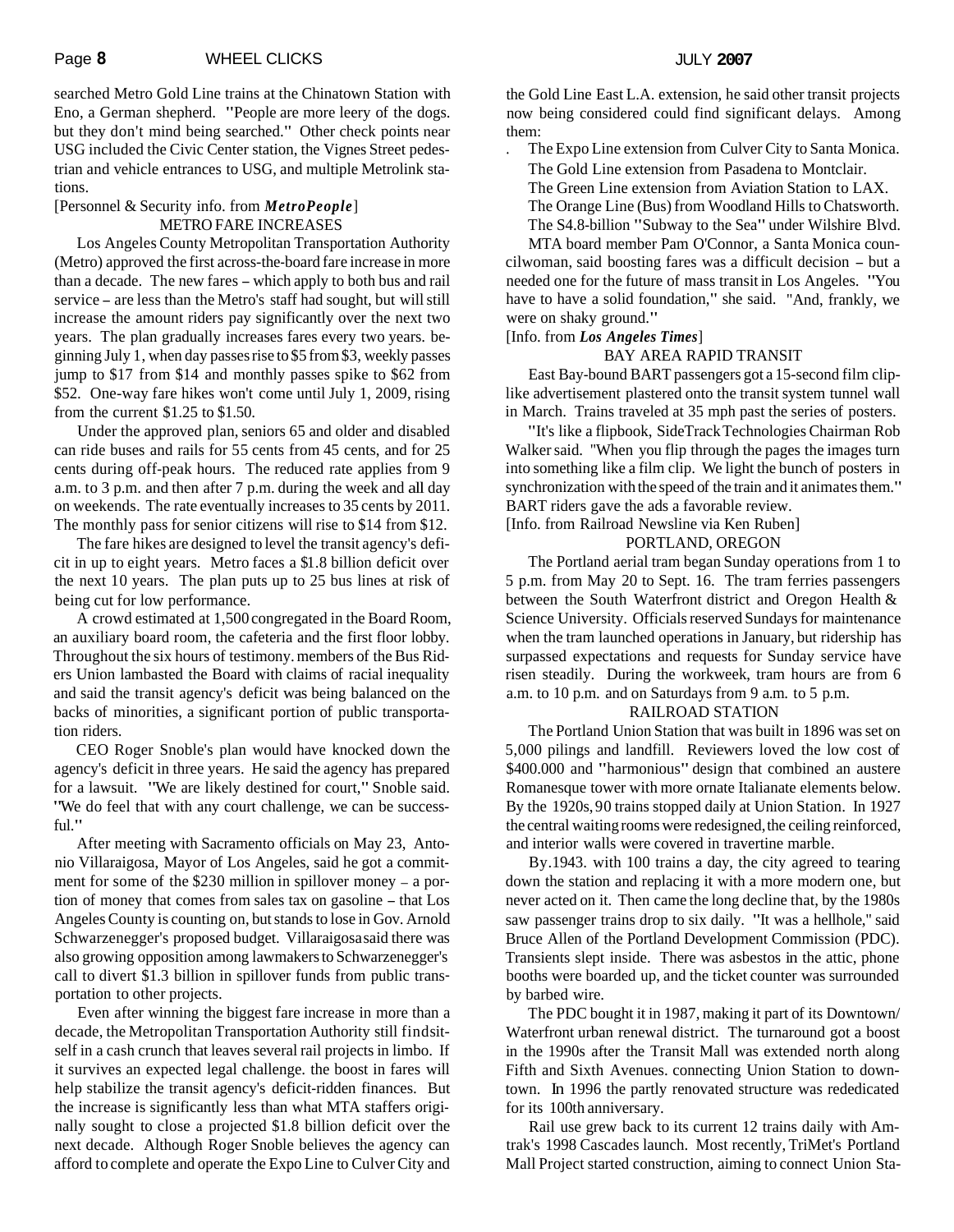searched Metro Gold Line trains at the Chinatown Station with Eno, a German shepherd. "People are more leery of the dogs. but they don't mind being searched." Other check points near USG included the Civic Center station, the Vignes Street pedestrian and vehicle entrances to USG, and multiple Metrolink stations.

# [Personnel & Security info. from *MetroPeople*] METRO FARE INCREASES

Los Angeles County Metropolitan Transportation Authority (Metro) approved the first across-the-board fare increase in more than a decade. The new fares - which apply to both bus and rail service - are less than the Metro's staff had sought, but will still increase the amount riders pay significantly over the next two years. The plan gradually increases fares every two years. beginning July 1, when day passes rise to \$5 from \$3, weekly passes jump to \$17 from \$14 and monthly passes spike to \$62 from \$52. One-way fare hikes won't come until July 1, 2009, rising from the current \$1.25 to \$1.50.

Under the approved plan, seniors 65 and older and disabled can ride buses and rails for 55 cents from 45 cents, and for 25 cents during off-peak hours. The reduced rate applies from 9 a.m. to 3 p.m. and then after 7 p.m. during the week and all day on weekends. The rate eventually increases to 35 cents by 2011. The monthly pass for senior citizens will rise to \$14 from \$12.

The fare hikes are designed to level the transit agency's deficit in up to eight years. Metro faces a \$1.8 billion deficit over the next 10 years. The plan puts up to 25 bus lines at risk of being cut for low performance.

A crowd estimated at 1,500 congregated in the Board Room, an auxiliary board room, the cafeteria and the first floor lobby. Throughout the six hours of testimony. members of the Bus Riders Union lambasted the Board with claims of racial inequality and said the transit agency's deficit was being balanced on the backs of minorities, a significant portion of public transportation riders.

CEO Roger Snoble's plan would have knocked down the agency's deficit in three years. He said the agency has prepared for a lawsuit. "We are likely destined for court," Snoble said. "We do feel that with any court challenge, we can be successful."

After meeting with Sacramento officials on May 23, Antonio Villaraigosa, Mayor of Los Angeles, said he got a commitment for some of the \$230 million in spillover money – a portion of money that comes from sales tax on gasoline - that Los Angeles County is counting on, but stands to lose in Gov. Arnold Schwarzenegger's proposed budget. Villaraigosa said there was also growing opposition among lawmakers to Schwarzenegger's call to divert \$1.3 billion in spillover funds from public transportation to other projects.

Even after winning the biggest fare increase in more than a decade, the Metropolitan Transportation Authority still findsitself in a cash crunch that leaves several rail projects in limbo. If it survives an expected legal challenge. the boost in fares will help stabilize the transit agency's deficit-ridden finances. But the increase is significantly less than what MTA staffers originally sought to close a projected \$1.8 billion deficit over the next decade. Although Roger Snoble believes the agency can afford to complete and operate the Expo Line to Culver City and

the Gold Line East L.A. extension, he said other transit projects now being considered could find significant delays. Among them:

The Expo Line extension from Culver City to Santa Monica.

- The Gold Line extension from Pasadena to Montclair.
- The Green Line extension from Aviation Station to LAX.
- The Orange Line (Bus) from Woodland Hills to Chatsworth. The S4.8-billion "Subway to the Sea" under Wilshire Blvd.

MTA board member Pam O'Connor, a Santa Monica councilwoman, said boosting fares was a difficult decision - but a needed one for the future of mass transit in Los Angeles. "You have to have a solid foundation," she said. "And, frankly, we were on shaky ground."

### [Info. from *Los Angeles Times*]

# BAY AREA RAPID TRANSIT

East Bay-bound BART passengers got a 15-second film cliplike advertisement plastered onto the transit system tunnel wall in March. Trains traveled at 35 mph past the series of posters.

"It's like a flipbook, SideTrack Technologies Chairman Rob Walker said. ''When you flip through the pages the images turn into something like a film clip. We light the bunch of posters in synchronization with the speed of the train and it animates them." BART riders gave the ads a favorable review.

[Info. from Railroad Newsline via Ken Ruben]

## PORTLAND, OREGON

The Portland aerial tram began Sunday operations from 1 to 5 p.m. from May 20 to Sept. 16. The tram ferries passengers between the South Waterfront district and Oregon Health & Science University. Officials reserved Sundays for maintenance when the tram launched operations in January, but ridership has surpassed expectations and requests for Sunday service have risen steadily. During the workweek, tram hours are from 6 a.m. to 10 p.m. and on Saturdays from 9 a.m. to 5 p.m.

# RAILROAD STATION

The Portland Union Station that was built in 1896 was set on 5,000 pilings and landfill. Reviewers loved the low cost of \$400.000 and "harmonious" design that combined an austere Romanesque tower with more ornate Italianate elements below. By the 1920s, 90 trains stopped daily at Union Station. In 1927 the central waiting rooms were redesigned, the ceiling reinforced, and interior walls were covered in travertine marble.

By. 1943. with 100 trains a day, the city agreed to tearing down the station and replacing it with a more modern one, but never acted on it. Then came the long decline that, by the 1980s saw passenger trains drop to six daily. "It was a hellhole," said Bruce Allen of the Portland Development Commission (PDC). Transients slept inside. There was asbestos in the attic, phone booths were boarded up, and the ticket counter was surrounded by barbed wire.

The PDC bought it in 1987, making it part of its Downtown/ Waterfront urban renewal district. The turnaround got a boost in the 1990s after the Transit Mall was extended north along Fifth and Sixth Avenues. connecting Union Station to downtown. In 1996 the partly renovated structure was rededicated for its 100th anniversary.

Rail use grew back to its current 12 trains daily with Amtrak's 1998 Cascades launch. Most recently, TriMet's Portland Mall Project started construction, aiming to connect Union Sta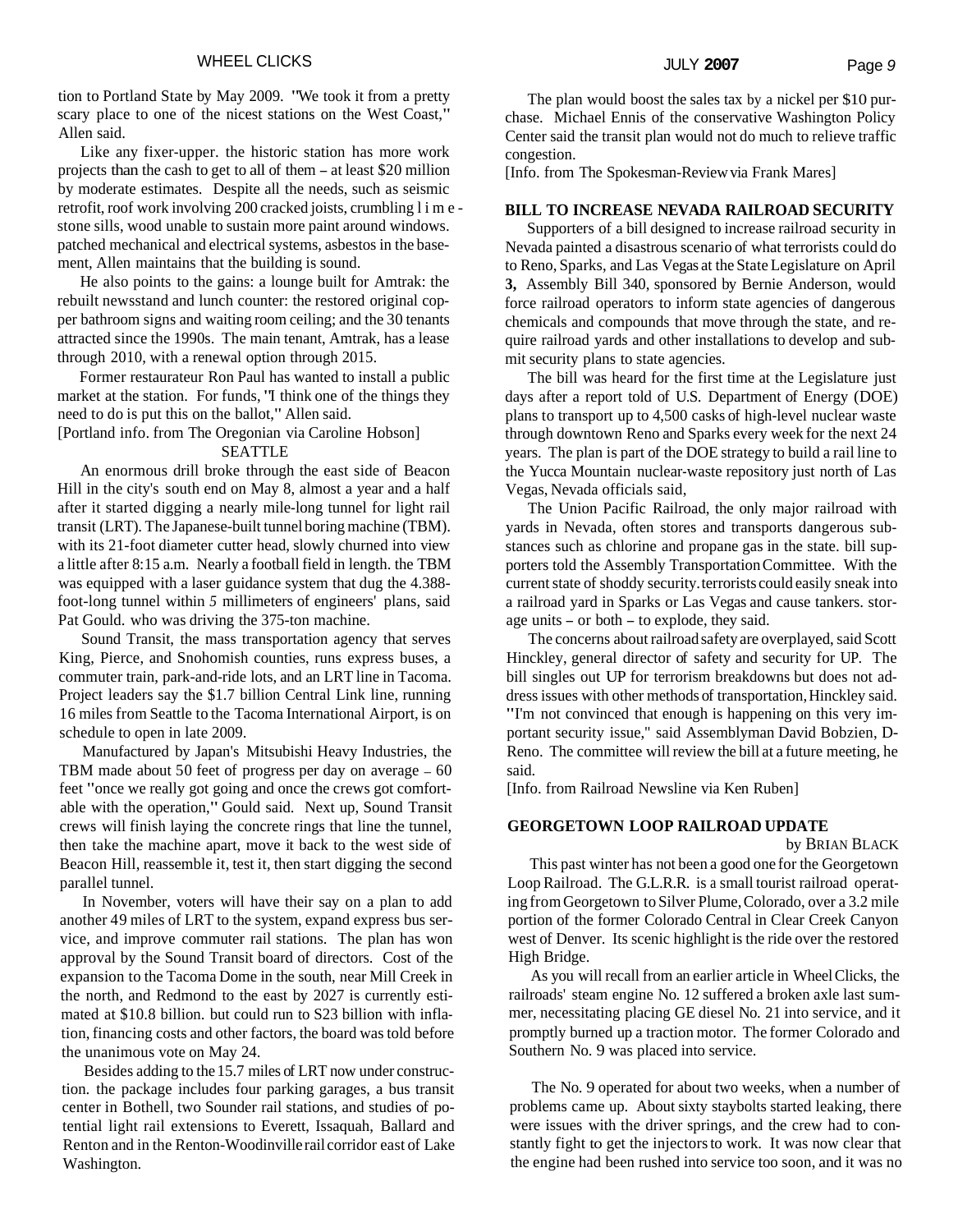tion to Portland State by May 2009. "We took it from a pretty scary place to one of the nicest stations on the West Coast," Allen said.

Like any fixer-upper. the historic station has more work projects than the cash to get to all of them - at least \$20 million by moderate estimates. Despite all the needs, such as seismic retrofit, roof work involving 200 cracked joists, crumbling limestone sills, wood unable to sustain more paint around windows. patched mechanical and electrical systems, asbestos in the basement, Allen maintains that the building is sound.

He also points to the gains: a lounge built for Amtrak: the rebuilt newsstand and lunch counter: the restored original copper bathroom signs and waiting room ceiling; and the 30 tenants attracted since the 1990s. The main tenant, Amtrak, has a lease through 2010, with a renewal option through 2015.

Former restaurateur Ron Paul has wanted to install a public market at the station. For funds, "I think one of the things they need to do is put this on the ballot," Allen said.

[Portland info. from The Oregonian via Caroline Hobson] SEATTLE

An enormous drill broke through the east side of Beacon Hill in the city's south end on May 8, almost a year and a half after it started digging a nearly mile-long tunnel for light rail transit (LRT). The Japanese-built tunnel boring machine (TBM). with its 21-foot diameter cutter head, slowly churned into view a little after 8: 15 a.m. Nearly a football field in length. the TBM was equipped with a laser guidance system that dug the 4.388 foot-long tunnel within *5* millimeters of engineers' plans, said Pat Gould. who was driving the 375-ton machine.

Sound Transit, the mass transportation agency that serves King, Pierce, and Snohomish counties, runs express buses, a commuter train, park-and-ride lots, and an LRT line in Tacoma. Project leaders say the \$1.7 billion Central Link line, running 16 miles from Seattle to the Tacoma International Airport, is on schedule to open in late 2009.

Manufactured by Japan's Mitsubishi Heavy Industries, the TBM made about 50 feet of progress per day on average - <sup>60</sup> feet "once we really got going and once the crews got comfortable with the operation," Gould said. Next up, Sound Transit crews will finish laying the concrete rings that line the tunnel, then take the machine apart, move it back to the west side of Beacon Hill, reassemble it, test it, then start digging the second parallel tunnel.

In November, voters will have their say on a plan to add another 49 miles of LRT to the system, expand express bus service, and improve commuter rail stations. The plan has won approval by the Sound Transit board of directors. Cost of the expansion to the Tacoma Dome in the south, near Mill Creek in the north, and Redmond to the east by 2027 is currently estimated at \$10.8 billion. but could run to S23 billion with inflation, financing costs and other factors, the board was told before the unanimous vote on May 24.

Besides adding to the 15.7 miles of LRT now under construction. the package includes four parking garages, a bus transit center in Bothell, two Sounder rail stations, and studies of potential light rail extensions to Everett, Issaquah, Ballard and Renton and in the Renton-Woodinville rail corridor east of Lake Washington.

The plan would boost the sales tax by a nickel per \$10 purchase. Michael Ennis of the conservative Washington Policy Center said the transit plan would not do much to relieve traffic congestion.

[Info. from The Spokesman-Review via Frank Mares]

#### **BILL TO INCREASE NEVADA RAILROAD SECURITY**

Supporters of a bill designed to increase railroad security in Nevada painted a disastrous scenario of what terrorists could do to Reno, Sparks, and Las Vegas at the State Legislature on April **3,** Assembly Bill 340, sponsored by Bernie Anderson, would force railroad operators to inform state agencies of dangerous chemicals and compounds that move through the state, and require railroad yards and other installations to develop and submit security plans to state agencies.

The bill was heard for the first time at the Legislature just days after a report told of U.S. Department of Energy (DOE) plans to transport up to 4,500 casks of high-level nuclear waste through downtown Reno and Sparks every week for the next 24 years. The plan is part of the DOE strategy to build a rail line to the Yucca Mountain nuclear-waste repository just north of Las Vegas, Nevada officials said,

The Union Pacific Railroad, the only major railroad with yards in Nevada, often stores and transports dangerous substances such as chlorine and propane gas in the state. bill supporters told the Assembly Transportation Committee. With the current state of shoddy security. terrorists could easily sneak into a railroad yard in Sparks or Las Vegas and cause tankers. storage units - or both - to explode, they said.

The concerns about railroad safety are overplayed, said Scott Hinckley, general director of safety and security for UP. The bill singles out UP for terrorism breakdowns but does not address issues with other methods of transportation, Hinckley said. "I'm not convinced that enough is happening on this very important security issue,'' said Assemblyman David Bobzien, D-Reno. The committee will review the bill at a future meeting, he said.

[Info. from Railroad Newsline via Ken Ruben]

## **GEORGETOWN LOOP RAILROAD UPDATE**

by BRIAN BLACK

This past winter has not been a good one for the Georgetown Loop Railroad. The G.L.R.R. is a small tourist railroad operating from Georgetown to Silver Plume, Colorado, over a 3.2 mile portion of the former Colorado Central in Clear Creek Canyon west of Denver. Its scenic highlight is the ride over the restored High Bridge.

As you will recall from an earlier article in Wheel Clicks, the railroads' steam engine No. 12 suffered a broken axle last summer, necessitating placing GE diesel No. 21 into service, and it promptly burned up a traction motor. The former Colorado and Southern No. 9 was placed into service.

The No. 9 operated for about two weeks, when a number of problems came up. About sixty staybolts started leaking, there were issues with the driver springs, and the crew had to constantly fight to get the injectors to work. It was now clear that the engine had been rushed into service too soon, and it was no